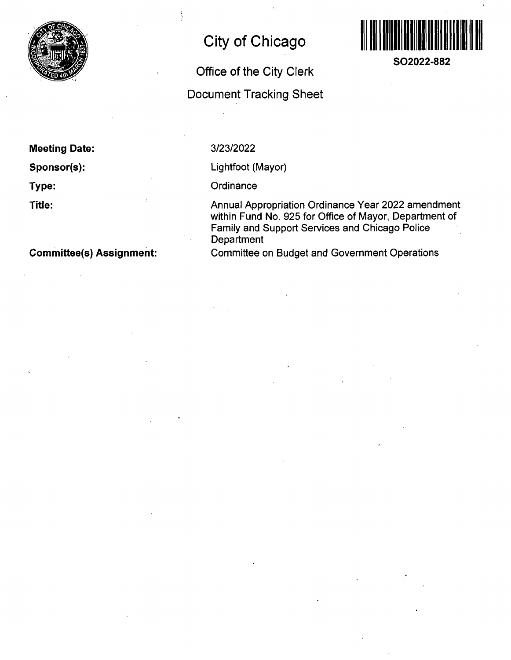

**City of Chicago** 

**Office of the City Clerk Document Tracking Sheet** 



**SO2022-882** 

**Meeting Date: Sponsor(s): Type:** 

**Title:** 

**Committee(s) Assignment:** 

3/23/2022

Lightfoot (Mayor)

**Ordinance** 

Annual Appropriation Ordinance Year 2022 amendment within Fund No. 925 for Office of Mayor, Department of Family and Support Services and Chicago Police **Department** 

Committee on Budget and Government Operations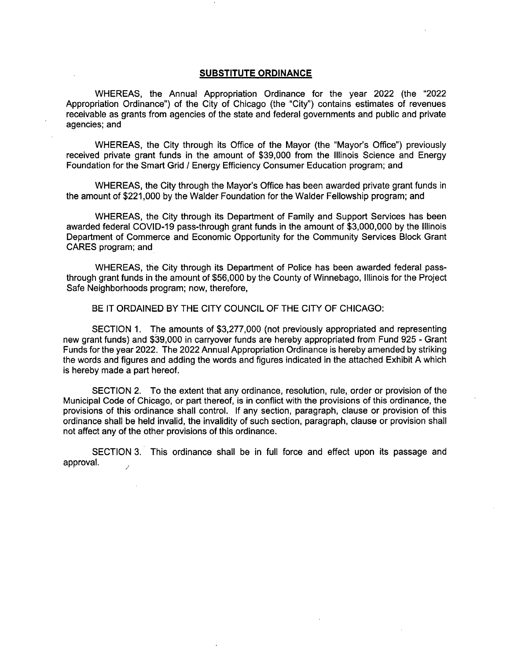## **SUBSTITUTE ORDINANCE**

WHEREAS, the Annual Appropriation Ordinance for the year 2022 (the "2022 Appropriation Ordinance") of the City of Chicago (the "City") contains estimates of revenues receivable as grants from agencies of the state and federal governments and public and private agencies; and

WHEREAS, the City through its Office of the Mayor (the "Mayor's Office") previously received private grant funds in the amount of \$39,000 from the Illinois Science and Energy Foundation for the Smart Grid / Energy Efficiency Consumer Education program; and

WHEREAS, the City through the Mayor's Office has been awarded private grant funds in the amount of \$221,000 by the Walder Foundation for the Walder Fellowship program; and

WHEREAS, the City through its Department of Family and Support Services has been awarded federal COVID-19 pass-through grant funds in the amount of \$3,000,000 by the Illinois Department of Commerce and Economic Opportunity for the Community Services Block Grant CARES program; and

WHEREAS, the City through its Department of Police has been awarded federal passthrough grant funds in the amount of \$56,000 by the County of Winnebago, Illinois for the Project Safe Neighborhoods program; now, therefore,

BE IT ORDAINED BY THE CITY COUNCIL OF THE CITY OF CHICAGO:

SECTION 1. The amounts of \$3,277,000 (not previously appropriated and representing new grant funds) and \$39,000 in carryover funds are hereby appropriated from Fund 925 - Grant Funds for the year 2022. The 2022 Annual Appropriation Ordinance is hereby amended by striking the words and figures and adding the words and figures indicated in the attached Exhibit A which is hereby made a part hereof.

SECTION 2. To the extent that any ordinance, resolution, rule, order or provision of the Municipal Code of Chicago, or part thereof, is in conflict with the provisions of this ordinance, the provisions of this ordinance shall control. If any section, paragraph, clause or provision of this ordinance shall be held invalid, the invalidity of such section, paragraph, clause or provision shall not affect any of the other provisions of this ordinance.

SECTION 3. This ordinance shall be in full force and effect upon its passage and approval.